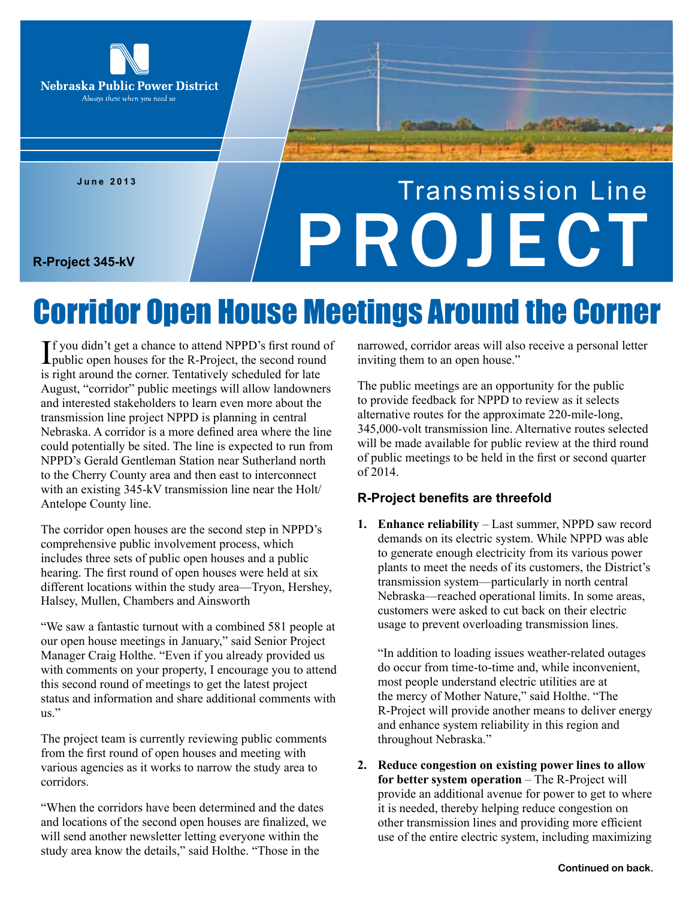

**June 2013**

# Transmission Line R-Project 345-kV

### Corridor Open House Meetings Around the Corner

If you didn't get a chance to attend NPPD's first round of<br>public open houses for the R-Project, the second round **T** f you didn't get a chance to attend NPPD's first round of is right around the corner. Tentatively scheduled for late August, "corridor" public meetings will allow landowners and interested stakeholders to learn even more about the transmission line project NPPD is planning in central Nebraska. A corridor is a more defined area where the line could potentially be sited. The line is expected to run from NPPD's Gerald Gentleman Station near Sutherland north to the Cherry County area and then east to interconnect with an existing 345-kV transmission line near the Holt/ Antelope County line.

The corridor open houses are the second step in NPPD's comprehensive public involvement process, which includes three sets of public open houses and a public hearing. The first round of open houses were held at six different locations within the study area—Tryon, Hershey, Halsey, Mullen, Chambers and Ainsworth

"We saw a fantastic turnout with a combined 581 people at our open house meetings in January," said Senior Project Manager Craig Holthe. "Even if you already provided us with comments on your property, I encourage you to attend this second round of meetings to get the latest project status and information and share additional comments with us."

The project team is currently reviewing public comments from the first round of open houses and meeting with various agencies as it works to narrow the study area to corridors.

"When the corridors have been determined and the dates and locations of the second open houses are finalized, we will send another newsletter letting everyone within the study area know the details," said Holthe. "Those in the

narrowed, corridor areas will also receive a personal letter inviting them to an open house."

The public meetings are an opportunity for the public to provide feedback for NPPD to review as it selects alternative routes for the approximate 220-mile-long, 345,000-volt transmission line. Alternative routes selected will be made available for public review at the third round of public meetings to be held in the first or second quarter of 2014.

#### **R-Project benefits are threefold**

**1. Enhance reliability** – Last summer, NPPD saw record demands on its electric system. While NPPD was able to generate enough electricity from its various power plants to meet the needs of its customers, the District's transmission system—particularly in north central Nebraska—reached operational limits. In some areas, customers were asked to cut back on their electric usage to prevent overloading transmission lines.

"In addition to loading issues weather-related outages do occur from time-to-time and, while inconvenient, most people understand electric utilities are at the mercy of Mother Nature," said Holthe. "The R-Project will provide another means to deliver energy and enhance system reliability in this region and throughout Nebraska."

**2. Reduce congestion on existing power lines to allow for better system operation** – The R-Project will provide an additional avenue for power to get to where it is needed, thereby helping reduce congestion on other transmission lines and providing more efficient use of the entire electric system, including maximizing